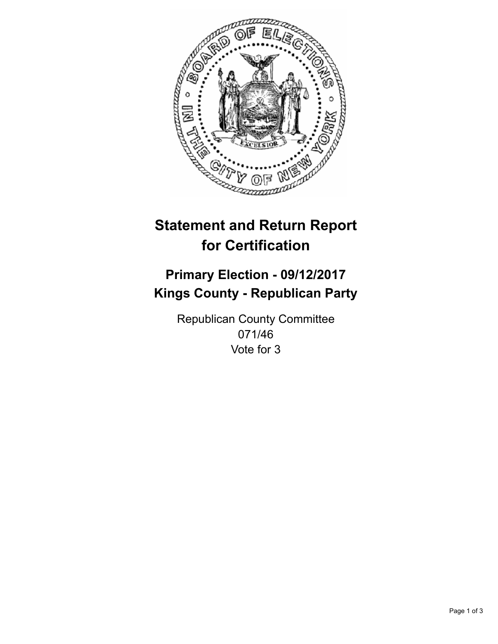

## **Statement and Return Report for Certification**

## **Primary Election - 09/12/2017 Kings County - Republican Party**

Republican County Committee 071/46 Vote for 3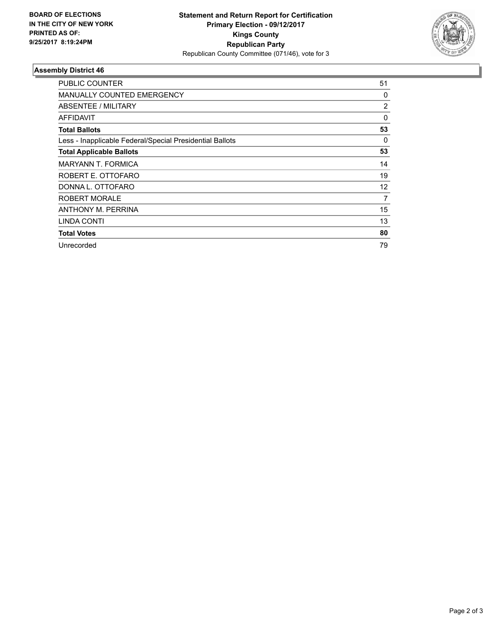

## **Assembly District 46**

| <b>PUBLIC COUNTER</b>                                    | 51                |
|----------------------------------------------------------|-------------------|
| <b>MANUALLY COUNTED EMERGENCY</b>                        | 0                 |
| ABSENTEE / MILITARY                                      | 2                 |
| AFFIDAVIT                                                | 0                 |
| <b>Total Ballots</b>                                     | 53                |
| Less - Inapplicable Federal/Special Presidential Ballots | 0                 |
| <b>Total Applicable Ballots</b>                          | 53                |
| <b>MARYANN T. FORMICA</b>                                | 14                |
| ROBERT E. OTTOFARO                                       | 19                |
| DONNA L. OTTOFARO                                        | $12 \overline{ }$ |
| <b>ROBERT MORALE</b>                                     | 7                 |
| ANTHONY M. PERRINA                                       | 15                |
| <b>LINDA CONTI</b>                                       | 13                |
| <b>Total Votes</b>                                       | 80                |
| Unrecorded                                               | 79                |